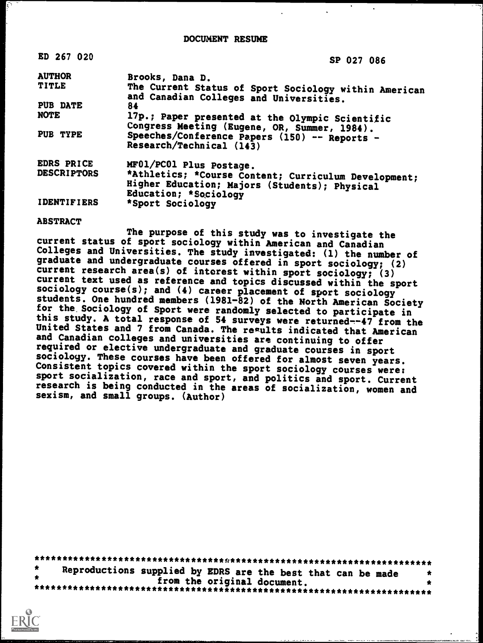DOCUMENT RESUME

| ED 267 020         | SP 027 086                                                                                            |
|--------------------|-------------------------------------------------------------------------------------------------------|
| <b>AUTHOR</b>      | Brooks, Dana D.                                                                                       |
| TITLE              | The Current Status of Sport Sociology within American<br>and Canadian Colleges and Universities.      |
| PUB DATE           | 84                                                                                                    |
| NOTE               | 17p.; Paper presented at the Olympic Scientific<br>Congress Meeting (Eugene, OR, Summer, 1984).       |
| PUB TYPE           | Speeches/Conference Papers (150) -- Reports -<br>Research/Technical (143)                             |
| EDRS PRICE         | MF01/PC01 Plus Postage.                                                                               |
| <b>DESCRIPTORS</b> | *Athletics; *Course Content; Curriculum Development;<br>Higher Education; Majors (Students); Physical |
| <b>IDENTIFIERS</b> | Education; *Sociology<br>*Sport Sociology                                                             |

#### ABSTRACT

The purpose of this study was to investigate the current status of sport sociology within American and Canadian Colleges and Universities. The study investigated: (1) the number of graduate and undergraduate courses offered in sport sociology; (2)<br>current research area(s) of interest within sport sociology; (3) current text used as reference and topics discussed within the sport sociology course(s); and (4) career placement of sport sociology students. One hundred members (1981-82) of the North American Society for the Sociology of Sport were randomly selected to participate in this study. A total response of 54 surveys were returned--47 from the United States and 7 from Canada. The re¤ults indicated that American and Canadian colleges and universities are continuing to offer required or elective undergraduate and graduate courses in sport<br>sociology. These courses have been offered for almost seven years. Consistent topics covered within the sport sociology courses were: sport socialization, race and sport, and politics and sport. Current research is being conducted in the areas of socialization, women and sexism, and small groups. (Author)

\*\*\*\*\*\*\*\*\*\*\*\*\*\*\* **Reproductions suppl** \*\*\*\*\*\*\*\*\*\*\*\*\*\*\*\* \*\*\*\*\*\*\*\*\*\*\*\*\*\*\*\*\*\*\*\*\*\*\*\*\*\*\*\*\*\*\*\*\*\*\*\*\*\*\*\*\*\*\*\*\*\*\*\*\*\*\*\*\*\*\*\* ons supplied by EDRS are the best that can be made from the original document. \*\*\*\*\*\*\*\*\*\*\*\*\*\*\*\*\*\*\*\*\*\*\*\*\*\*\*\*\*\*\*\*\*\*\*\*\*\*\*\*\*\*\*\*\*\*\*\*\*\*\*\*\*\*\*\*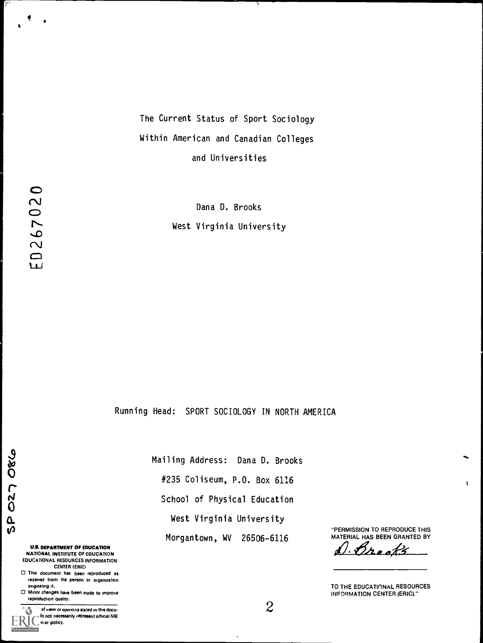# The Current Status of Sport Sociology Within American and Canadian Colleges and Universities

Dana D. Brooks West Virginia University

Running Head: SPORT SOCIOLOGY IN NORTH AMERICA

027086  $\frac{\Omega}{\Omega}$ 

> U.S. DEPARTMENT OF EDUCATION NATIONAL INSTITUTE OF EDUCATION EDUCATIONAL RESOURCES INFORMATION CENTER IERICI

O This document has been reproduced as received from the person or organization originating it.

O Minor changes have been made to improve reproduction quality.

**Points of view or opinions stated in this docu**ment do not necessarily represent official NIE positron or policy. d by ERIC

Mailing Address: Dana D. Brooks #235 Coliseum, P.O. Box 6116 School of Physical Education West Virginia University Morgantown, WV 26506-6116

 $\ddot{\phantom{0}}$ 

"PERMISSION TO REPRODUCE THIS

ī.

MATERIAL HAS BEEN GRANTED BY<br>d. <u>Dr. a a A.S.</u>

TO THE EDUCATIONAL RESOURCES INFORMATION CENTER (ERIC)."

 $\mathbf{t}$ 

Ų.,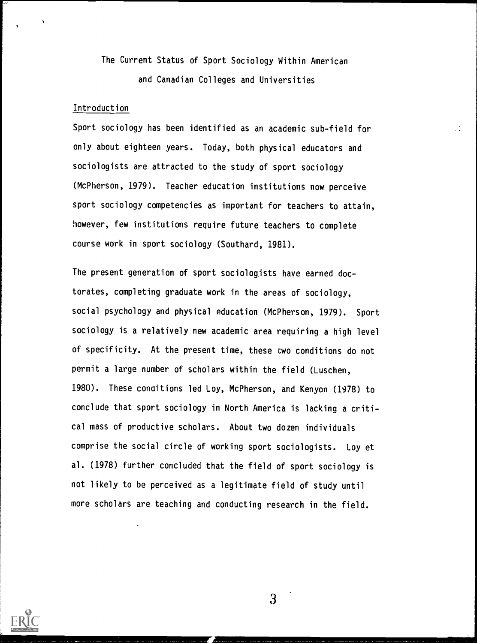The Current Status of Sport Sociology Within American and Canadian Colleges and Universities

 $\cdot$  :

### Introduction

Sport sociology has been identified as an academic sub-field for only about eighteen years. Today, both physical educators and sociologists are attracted to the study of sport sociology (McPherson, 1979). Teacher education institutions now perceive sport sociology competencies as important for teachers to attain, however, few institutions require future teachers to complete course work in sport sociology (Southard, 1981).

The present generation of sport sociologists have earned doctorates, completing graduate work in the areas of sociology, social psychology and physical education (McPherson, 1979). Sport sociology is a relatively new academic area requiring a high level of specificity. At the present time, these two conditions do not permit a large number of scholars within the field (Luschen, 1980). These conaitions led Loy, McPherson, and Kenyon (1978) to conclude that sport sociology in North America is lacking a critical mass of productive scholars. About two dozen individuals comprise the social circle of working sport sociologists. Loy et al. (1978) further concluded that the field of sport sociology is not likely to be perceived as a legitimate field of study until more scholars are teaching and conducting research in the field.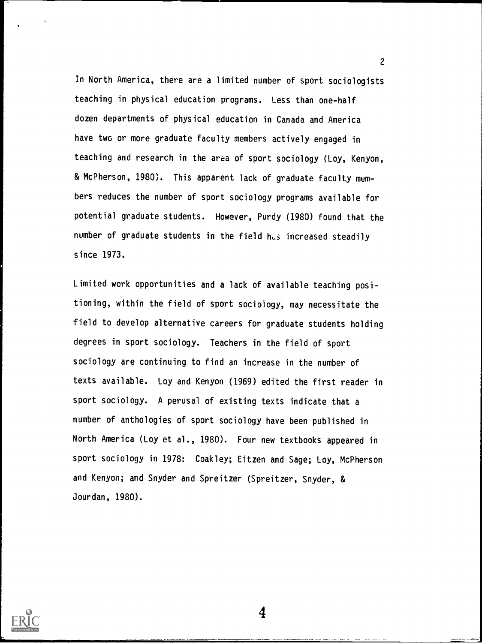In North America, there are a limited number of sport sociologists teaching in physical education programs. Less than one-half dozen departments of physical education in Canada and America have two or more graduate faculty members actively engaged in teaching and research in the area of sport sociology (Loy, Kenyon, & McPherson, 1980). This apparent lack of graduate faculty members reduces the number of sport sociology programs available for potential graduate students. However, Purdy (1980) found that the number of graduate students in the field has increased steadily since 1973.

Limited work opportunities and a lack of available teaching positioning, within the field of sport sociology, may necessitate the field to develop alternative careers for graduate students holding degrees in sport sociology. Teachers in the field of sport sociology are continuing to find an increase in the number of texts available. Loy and Kenyon (1969) edited the first reader in sport sociology. A perusal of existing texts indicate that a number of anthologies of sport sociology have been published in North America (Loy et al., 1980). Four new textbooks appeared in sport sociology in 1978: Coakley; Eitzen and Sage; Loy, McPherson and Kenyon; and Snyder and Spreitzer (Spreitzer, Snyder, & Jourdan, 1980).

4

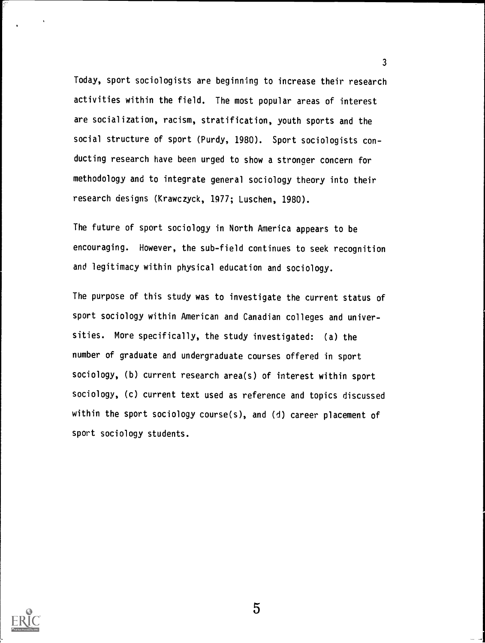Today, sport sociologists are beginning to increase their research activities within the field. The most popular areas of interest are socialization, racism, stratification, youth sports and the social structure of sport (Purdy, 1980). Sport sociologists conducting research have been urged to show a stronaer concern for methodology and to integrate general sociology theory into their research designs (Krawczyck, 1977; Luschen, 1980).

3

The future of sport sociology in North America appears to be encouraging. However, the sub-field continues to seek recognition and legitimacy within physical education and sociology.

The purpose of this study was to investigate the current status of sport sociology within American and Canadian colleges and universities. More specifically, the study investigated: (a) the number of graduate and undergraduate courses offered in sport sociology, (b) current research area(s) of interest within sport sociology, (c) current text used as reference and topics discussed within the sport sociology course(s), and (d) career placement of sport sociology students.

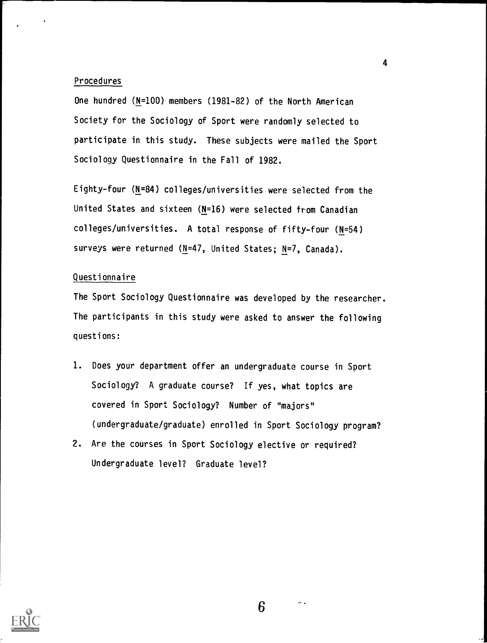#### Procedures

One hundred (N=100) members (1981-82) of the North American Society for the Sociology of Sport were randomly selected to participate in this study. These subjects were mailed the Sport Sociology Questionnaire in the Fall of 1982.

Eighty-four (N=84) colleges/universities were selected from the United States and sixteen (N=16) were selected from Canadian colleges/universities. A total response of fifty-four (N=54) surveys were returned (N=47, United States; N=7, Canada).

### Questionnaire

The Sport Sociology Questionnaire was developed by the researcher. The participants in this study were asked to answer the following questions:

- 1. Does your department offer an undergraduate course in Sport Sociology? A graduate course? If yes, what topics are covered in Sport Sociology? Number of "majors" (undergraduate/graduate) enrolled in Sport Sociology program?
- 2. Are the courses in Sport Sociology elective or required? Undergraduate level? Graduate level?



4

 $\alpha$  .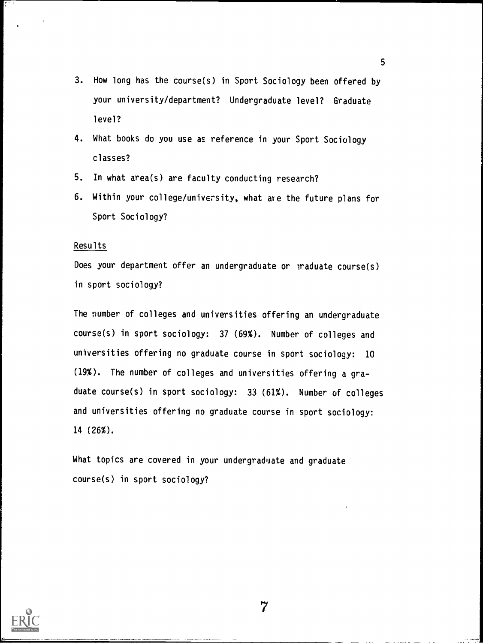- 3. How long has the course(s) in Sport Sociology been offered by your university/department? Undergraduate level? Graduate level?
- 4. What books do you use as reference in your Sport Sociology classes?
- 5. In what area(s) are faculty conducting research?
- 6. Within your college/university, what are the future plans for Sport Sociology?

### Results

Does your department offer an undergraduate or praduate course(s) in sport sociology?

The number of colleges and universities offering an undergraduate course(s) in sport sociology: 37 (69%). Number of colleges and universities offering no graduate course in sport sociology: 10 (19%). The number of colleges and universities offering a graduate course(s) in sport sociology: 33 (61%). Number of colleges and universities offering no graduate course in sport sociology: 14 (26%).

What topics are covered in your undergraduate and graduate course(s) in sport sociology?



5

 $\overline{7}$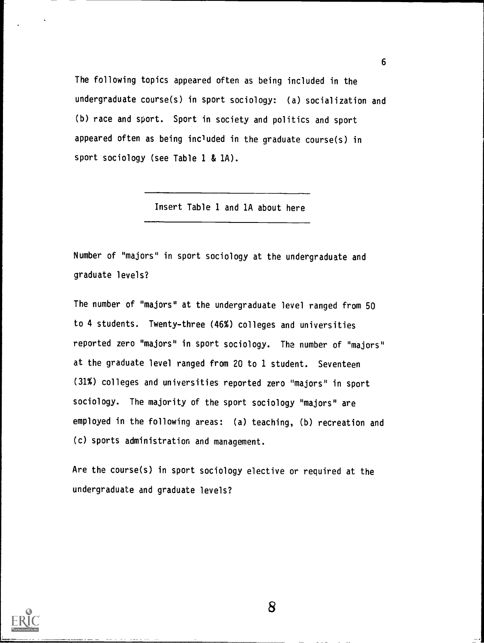The following topics appeared often as being included in the undergraduate course(s) in sport sociology: (a) socialization and (b) race and sport. Sport in society and politics and sport appeared often as being included in the graduate course(s) in sport sociology (see Table 1 & 1A).

6

Insert Table 1 and 1A about here

Number of "majors" in sport sociology at the undergraduate and graduate levels?

The number of "majors" at the undergraduate level ranged from 50 to 4 students. Twenty-three (46%) colleges and universities reported zero "majors" in sport sociology. The number of "majors" at the graduate level ranged from 20 to 1 student. Seventeen (31%) colleges and universities reported zero "majors" in sport sociology. The majority of the sport sociology "majors" are employed in the following areas: (a) teaching, (b) recreation and (c) sports administration and management.

Are the course(s) in sport sociology elective or required at the undergraduate and graduate levels?

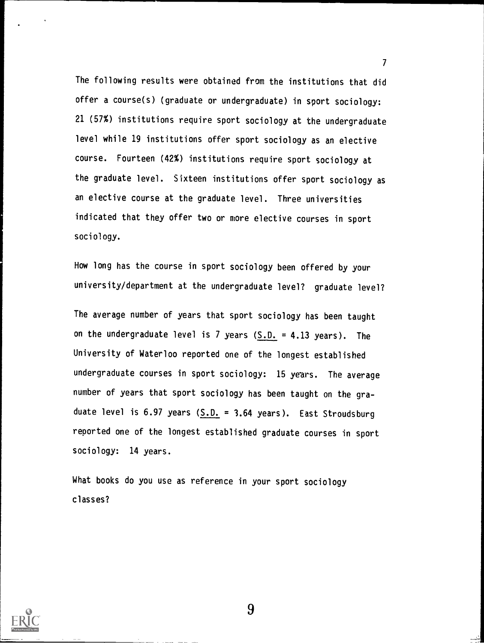The following results were obtained from the institutions that did offer a course(s) (graduate or undergraduate) in sport sociology: 21 (57%) institutions require sport sociology at the undergraduate level while 19 institutions offer sport sociology as an elective course. Fourteen (42%) institutions require sport sociology at the graduate level. Sixteen institutions offer sport sociology as an elective course at the graduate level. Three universities indicated that they offer two or more elective courses in sport sociology.

 $\mathcal{T}$  and  $\mathcal{T}$ 

How long has the course in sport sociology been offered by your university/department at the undergraduate level? graduate level?

The average number of years that sport sociology has been taught on the undergraduate level is 7 years  $(S.D. = 4.13$  years). The University of Waterloo reported one of the longest established undergraduate courses in sport sociology: 15 years. The average number of years that sport sociology has been taught on the graduate level is 6.97 years  $(S.D. = 3.64$  years). East Stroudsburg reported one of the longest established graduate courses in sport sociology: 14 years.

What books do you use as reference in your sport sociology classes?

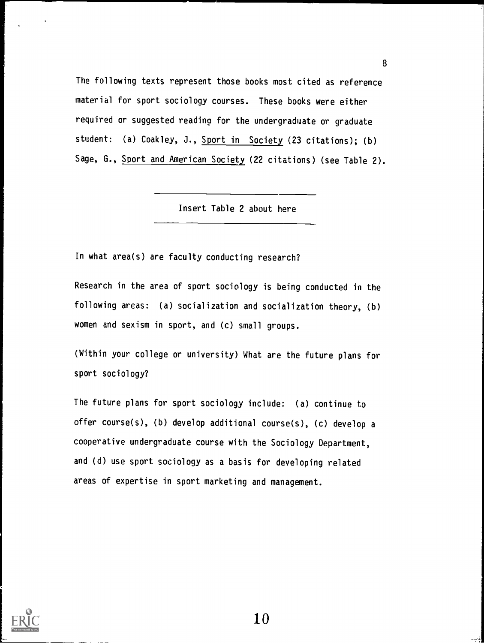The following texts represent those books most cited as reference material for sport sociology courses. These books were either required or suggested reading for the undergraduate or graduate student: (a) Coakley, J., Sport in Society (23 citations); (b) Sage, G., Sport and American Society (22 citations) (see Table 2).

8

Insert Table 2 about here

In what area(s) are faculty conducting research?

Research in the area of sport sociology is being conducted in the following areas: (a) socialization and socialization theory, (b) women and sexism in sport, and (c) small groups.

(Within your college or university) What are the future plans for sport sociology?

The future plans for sport sociology include: (a) continue to offer course(s), (b) develop additional course(s), (c) develop a cooperative undergraduate course with the Sociology Department, and (d) use sport sociology as a basis for developing related areas of expertise in sport marketing and management.

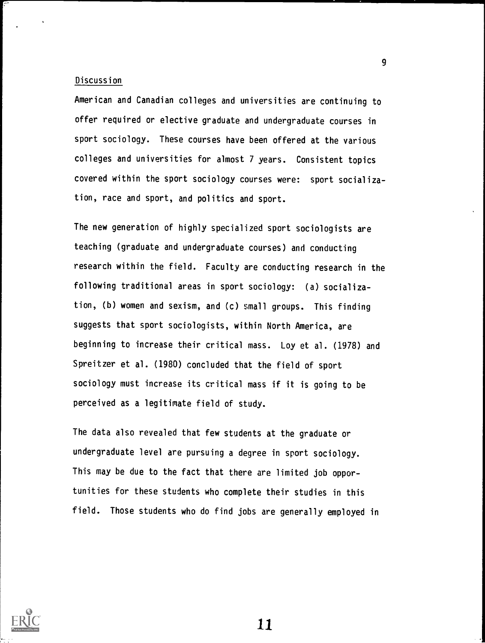### Discussion

American and Canadian colleges and universities are continuing to offer required or elective graduate and undergraduate courses in sport sociology. These courses have been offered at the various colleges and universities for almost 7 years. Consistent topics covered within the sport sociology courses were: sport socialization, race and sport, and politics and sport.

The new generation of highly specialized sport sociologists are teaching (graduate and undergraduate courses) and conducting research within the field. Faculty are conducting research in the following traditional areas in sport sociology: (a) socialization, (b) women and sexism, and (c) small groups. This finding suggests that sport sociologists, within North America, are beginning to increase their critical mass. Loy et al. (1978) and Spreitzer et al. (1980) concluded that the field of sport sociology must increase its critical mass if it is going to be perceived as a legitimate field of study.

The data also revealed that few students at the graduate or undergraduate level are pursuing a degree in sport sociology. This may be due to the fact that there are limited job opportunities for these students who complete their studies in this field. Those students who do find jobs are generally employed in



11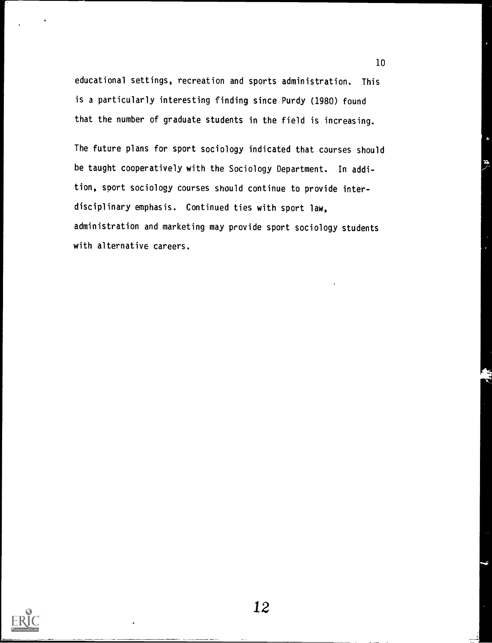educational settings, recreation and sports administration. This is a particularly interesting finding since Purdy (1980) found that the number of graduate students in the field is increasing.

The future plans for sport sociology indicated that courses should be taught cooperatively with the Sociology Department. In addition, sport sociology courses should continue to provide interdisciplinary emphasis. Continued ties with sport law, administration and marketing may provide sport sociology students with alternative careers.



12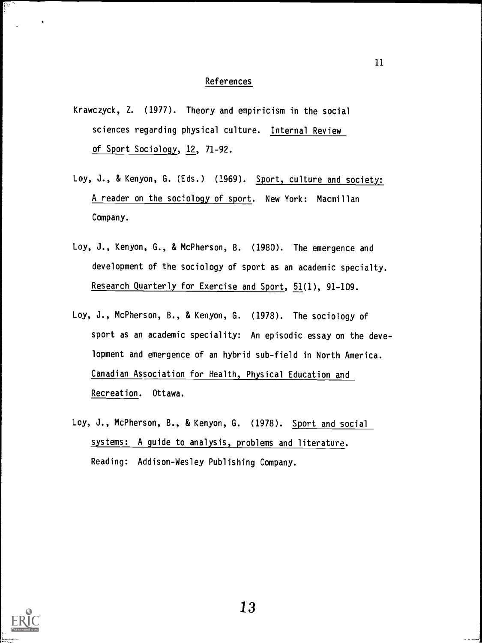#### **References**

- Krawczyck, Z. (1977). Theory and empiricism in the social sciences regarding physical culture. Internal Review of Sport Sociology, 12, 71-92.
- Loy, J., & Kenyon, G. (Eds.) (1969). Sport, culture and society: A reader on the sociology of sport. New York: Macmillan Company.
- Loy, J., Kenyon, G., & McPherson, B. (1980). The emergence and development of the sociology of sport as an academic specialty. Research Quarterly for Exercise and Sport, 51(1), 91-109.
- Loy, J., McPherson, B., & Kenyon, G. (1978). The sociology of sport as an academic speciality: An episodic essay on the development and emergence of an hybrid sub-field in North America. Canadian Association for Health, Physical Education and Recreation. Ottawa.
- Loy, J., McPherson, B., & Kenyon, G. (1978). Sport and social systems: A guide to analysis, problems and literature. Reading: Addison-Wesley Publishing Company.

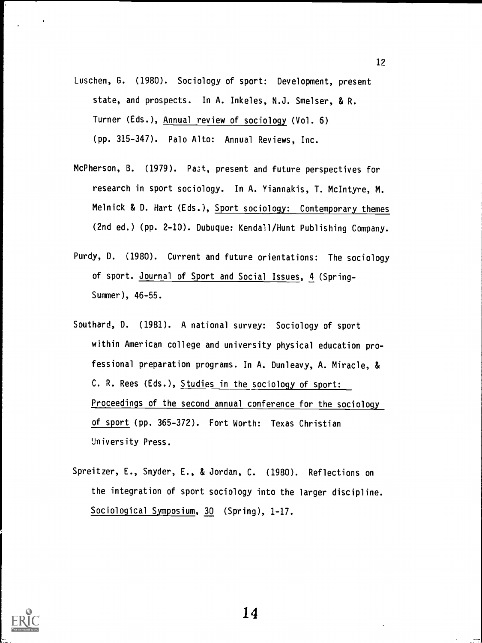- Luschen, G. (1980). Sociology of sport: Development, present state, and prospects. In A. Inkeles, N.J. Smelser, & R. Turner (Eds.), Annual review of sociology (Vol. 6) (pp. 315-347). Palo Alto: Annual Reviews, Inc.
- McPherson, B. (1979). Past, present and future perspectives for research in sport sociology. In A. Yiannakis, T. McIntyre, M. Melnick & D. Hart (Eds.), Sport sociology: Contemporary themes (2nd ed.) (pp. 2-10). Dubuque: Kendall/Hunt Publishing Company.
- Purdy, D. (1980). Current and future orientations: The sociology of sport. Journal of Sport and Social Issues, 4 (Spring-Summer), 46-55.
- Southard, D. (1981). A national survey: Sociology of sport within American college and university physical education professional preparation programs. In A. Dunleavy, A. Miracle, & C. R. Rees (Eds.), Studies in the sociology of sport: Proceedings of the second annual conference for the sociology of sport (pp. 365-372). Fort Worth: Texas Christian University Press.
- Spreitzer, E., Snyder, E., & Jordan, C. (1980). Reflections on the integration of sport sociology into the larger discipline. Sociological Symposium, 30 (Spring), 1-17.



14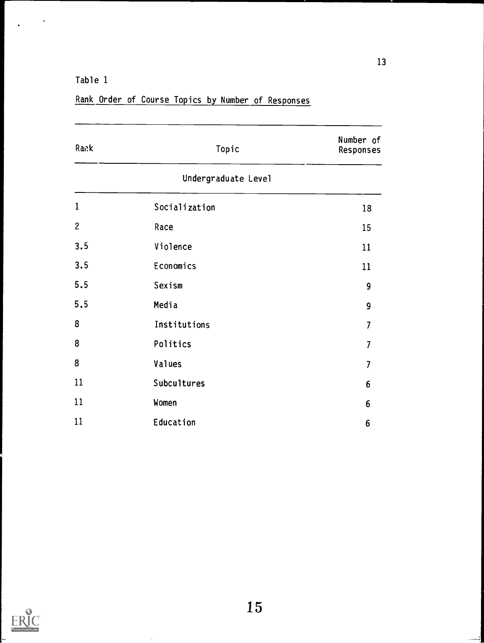Table 1

| Rank         | Topic               | Number of<br>Responses |
|--------------|---------------------|------------------------|
|              | Undergraduate Level |                        |
| $\mathbf{1}$ | Socialization       | 18                     |
| $\mathbf{2}$ | Race                | 15                     |
| 3.5          | Violence            | 11                     |
| 3.5          | Economics           | 11                     |
| 5.5          | Sexism              | 9                      |
| 5.5          | Media               | 9                      |
| 8            | Institutions        | $\overline{7}$         |
| 8            | Politics            | $\overline{7}$         |
| 8            | Values              | $\overline{7}$         |
| 11           | Subcultures         | 6                      |
| 11           | Women               | 6                      |
| 11           | Education           | 6                      |

Rank Order of Course Topics by Number of Responses



13

 $\lambda$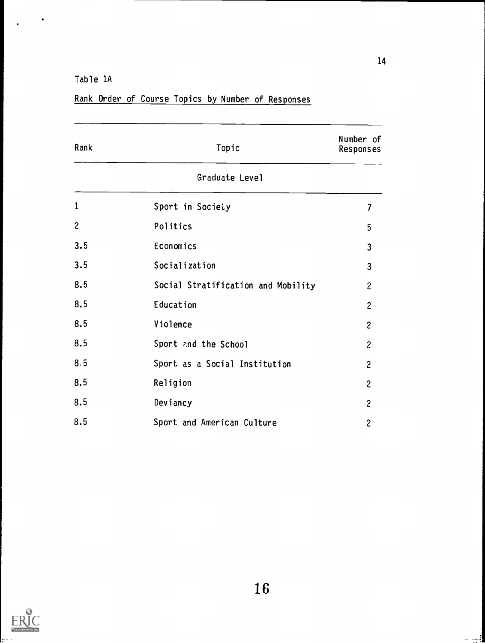Table 1A

| Rank           | Topic                              | Number of<br>Responses    |
|----------------|------------------------------------|---------------------------|
|                | Graduate Level                     |                           |
| $\mathbf{1}$   | Sport in Society                   | $\overline{\overline{1}}$ |
| $\overline{c}$ | Politics                           | 5                         |
| 3.5            | Economics                          | 3                         |
| 3.5            | Socialization                      | $\overline{3}$            |
| 8.5            | Social Stratification and Mobility | $\overline{c}$            |
| 8.5            | Education                          | $\overline{\mathbf{c}}$   |
| 8.5            | Violence                           | $\overline{c}$            |
| 8.5            | Sport and the School               | $\overline{c}$            |
| 8.5            | Sport as a Social Institution      | $\overline{c}$            |
| 8.5            | Religion                           | $\overline{c}$            |
| 8.5            | Deviancy                           | $\mathbf{c}$              |
| 8.5            | Sport and American Culture         | $\overline{c}$            |

## Rank Order of Course Topics by Number of Responses



ٳۏ  $\mathbf{a}$ ÷